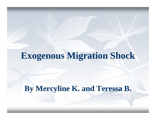# **Exogenous Migration Shock**

**By Mercyline K. and Teressa B.**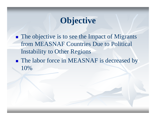## **Objective**

**STATE The objective is to see the Impact of Migrants** from MEASNAF Countries Due to Political Instability to Other Regions

**The labor force in MEASNAF is decreased by** 10%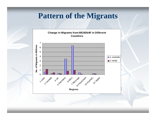#### **Pattern of the Migrants**

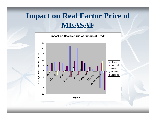### **Impact on Real Factor Price of MEASAF**

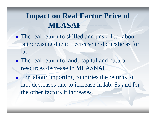#### **Impact on Real Factor Price of MEASAF----------**

- **The real return to skilled and unskilled labour** is increasing due to decrease in domestic ss for lab
- **The real return to land, capital and natural** resources decrease in MEASNAF
- **STATE For labour importing countries the returns to** lab. decreases due to increase in lab. Ss and for the other factors it increases.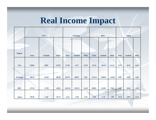## **Real Income Impact**

|  |                |              | <b>Germany</b> |          |              | <b>REU</b> |          |              | <b>Japan</b> |          |              |         |         |  |
|--|----------------|--------------|----------------|----------|--------------|------------|----------|--------------|--------------|----------|--------------|---------|---------|--|
|  |                |              |                |          |              |            |          |              |              |          |              |         |         |  |
|  | <b>Region</b>  | <b>Total</b> | <b>Unsklab</b> | sklab    | <b>Total</b> | unsklab    | sklab    | <b>Ttoal</b> | unsklab      | sklab    | <b>Total</b> | unsklab | sklab   |  |
|  | <b>USA</b>     | 15950        | 2829           | 13129    | $-27.64$     | $-6.57$    | $-21.07$ | $-35.31$     | $-18.14$     | $-17.17$ | $-0.79$      | $-0.53$ | $-0.26$ |  |
|  |                |              |                |          |              |            |          |              |              |          |              |         |         |  |
|  | <b>Germany</b> | $-90.59$     | $-10.28$       | $-80.39$ | 45179        | 38075      | 7104     | $-114.53$    | $-100.94$    | $-13.60$ | $-0.05$      | $-0.03$ | $-0.02$ |  |
|  | <b>REU</b>     | $-67.58$     | $-17.99$       | $-49.65$ | $-245.54$    | $-229.31$  | $-16.23$ | 58591        | 51228        | 7363     | $-0.07$      | $-0.04$ | $-0.02$ |  |
|  | <b>Japan</b>   | $-58.28$     | $-1.58$        | $-56.75$ | $-4.22$      | $-2.30$    | $-1.92$  | $-3.99$      | $-1.19$      | $-2.80$  | $-3514$      | $-2391$ | $-1123$ |  |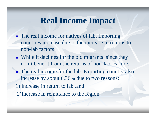#### **Real Income Impact**

- **The real income for natives of lab. Importing** countries increase due to the increase in returns to non-lab factors
- While it declines for the old migrants since they don't benefit from the returns of non-lab. Factors.
- **The real income for the lab. Exporting country also** increase by about 6.36% due to two reasons:
- 1) increase in return to lab ,and
- 2)Increase in remittance to the region